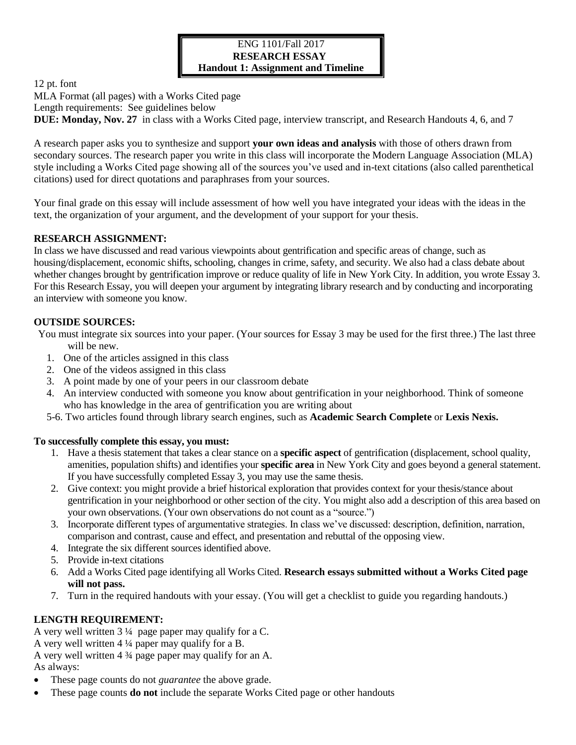## ENG 1101/Fall 2017 **RESEARCH ESSAY Handout 1: Assignment and Timeline**

12 pt. font

MLA Format (all pages) with a Works Cited page Length requirements: See guidelines below **DUE: Monday, Nov. 27** in class with a Works Cited page, interview transcript, and Research Handouts 4, 6, and 7

A research paper asks you to synthesize and support **your own ideas and analysis** with those of others drawn from secondary sources. The research paper you write in this class will incorporate the Modern Language Association (MLA) style including a Works Cited page showing all of the sources you've used and in-text citations (also called parenthetical citations) used for direct quotations and paraphrases from your sources.

Your final grade on this essay will include assessment of how well you have integrated your ideas with the ideas in the text, the organization of your argument, and the development of your support for your thesis.

# **RESEARCH ASSIGNMENT:**

In class we have discussed and read various viewpoints about gentrification and specific areas of change, such as housing/displacement, economic shifts, schooling, changes in crime, safety, and security. We also had a class debate about whether changes brought by gentrification improve or reduce quality of life in New York City. In addition, you wrote Essay 3. For this Research Essay, you will deepen your argument by integrating library research and by conducting and incorporating an interview with someone you know.

# **OUTSIDE SOURCES:**

You must integrate six sources into your paper. (Your sources for Essay 3 may be used for the first three.) The last three will be new.

- 1. One of the articles assigned in this class
- 2. One of the videos assigned in this class
- 3. A point made by one of your peers in our classroom debate
- 4. An interview conducted with someone you know about gentrification in your neighborhood. Think of someone who has knowledge in the area of gentrification you are writing about
- 5-6. Two articles found through library search engines, such as **Academic Search Complete** or **Lexis Nexis.**

### **To successfully complete this essay, you must:**

- 1. Have a thesis statement that takes a clear stance on a **specific aspect** of gentrification (displacement, school quality, amenities, population shifts) and identifies your **specific area** in New York City and goes beyond a general statement. If you have successfully completed Essay 3, you may use the same thesis.
- 2. Give context: you might provide a brief historical exploration that provides context for your thesis/stance about gentrification in your neighborhood or other section of the city. You might also add a description of this area based on your own observations. (Your own observations do not count as a "source.")
- 3. Incorporate different types of argumentative strategies. In class we've discussed: description, definition, narration, comparison and contrast, cause and effect, and presentation and rebuttal of the opposing view.
- 4. Integrate the six different sources identified above.
- 5. Provide in-text citations
- 6. Add a Works Cited page identifying all Works Cited. **Research essays submitted without a Works Cited page will not pass.**
- 7. Turn in the required handouts with your essay. (You will get a checklist to guide you regarding handouts.)

# **LENGTH REQUIREMENT:**

A very well written 3 ¼ page paper may qualify for a C. A very well written 4 ¼ paper may qualify for a B. A very well written 4 ¾ page paper may qualify for an A. As always:

- These page counts do not *guarantee* the above grade.
- These page counts **do not** include the separate Works Cited page or other handouts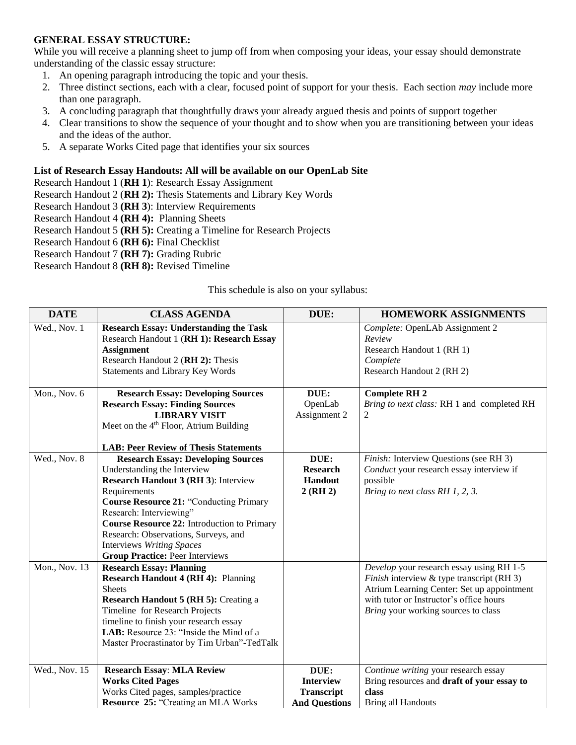# **GENERAL ESSAY STRUCTURE:**

While you will receive a planning sheet to jump off from when composing your ideas, your essay should demonstrate understanding of the classic essay structure:

- 1. An opening paragraph introducing the topic and your thesis.
- 2. Three distinct sections, each with a clear, focused point of support for your thesis. Each section *may* include more than one paragraph.
- 3. A concluding paragraph that thoughtfully draws your already argued thesis and points of support together
- 4. Clear transitions to show the sequence of your thought and to show when you are transitioning between your ideas and the ideas of the author.
- 5. A separate Works Cited page that identifies your six sources

## **List of Research Essay Handouts: All will be available on our OpenLab Site**

Research Handout 1 (**RH 1**): Research Essay Assignment

- Research Handout 2 (**RH 2):** Thesis Statements and Library Key Words
- Research Handout 3 **(RH 3**): Interview Requirements

Research Handout 4 **(RH 4):** Planning Sheets

- Research Handout 5 **(RH 5):** Creating a Timeline for Research Projects
- Research Handout 6 **(RH 6):** Final Checklist

Research Handout 7 **(RH 7):** Grading Rubric

Research Handout 8 **(RH 8):** Revised Timeline

### This schedule is also on your syllabus:

| <b>DATE</b>   | <b>CLASS AGENDA</b>                                                                                                                                                                                                                                                                                                                                                                       | DUE:                                                                  | <b>HOMEWORK ASSIGNMENTS</b>                                                                                                                                                                                           |
|---------------|-------------------------------------------------------------------------------------------------------------------------------------------------------------------------------------------------------------------------------------------------------------------------------------------------------------------------------------------------------------------------------------------|-----------------------------------------------------------------------|-----------------------------------------------------------------------------------------------------------------------------------------------------------------------------------------------------------------------|
| Wed., Nov. 1  | <b>Research Essay: Understanding the Task</b><br>Research Handout 1 (RH 1): Research Essay<br><b>Assignment</b><br>Research Handout 2 (RH 2): Thesis<br><b>Statements and Library Key Words</b>                                                                                                                                                                                           |                                                                       | Complete: OpenLAb Assignment 2<br>Review<br>Research Handout 1 (RH 1)<br>Complete<br>Research Handout 2 (RH 2)                                                                                                        |
| Mon., Nov. 6  | <b>Research Essay: Developing Sources</b><br><b>Research Essay: Finding Sources</b><br><b>LIBRARY VISIT</b><br>Meet on the 4 <sup>th</sup> Floor, Atrium Building<br><b>LAB: Peer Review of Thesis Statements</b>                                                                                                                                                                         | DUE:<br>OpenLab<br>Assignment 2                                       | <b>Complete RH 2</b><br>Bring to next class: RH 1 and completed RH<br>2                                                                                                                                               |
| Wed., Nov. 8  | <b>Research Essay: Developing Sources</b><br>Understanding the Interview<br><b>Research Handout 3 (RH 3): Interview</b><br>Requirements<br><b>Course Resource 21: "Conducting Primary</b><br>Research: Interviewing"<br><b>Course Resource 22: Introduction to Primary</b><br>Research: Observations, Surveys, and<br>Interviews Writing Spaces<br><b>Group Practice: Peer Interviews</b> | DUE:<br><b>Research</b><br>Handout<br>$2$ (RH $2$ )                   | Finish: Interview Questions (see RH 3)<br>Conduct your research essay interview if<br>possible<br>Bring to next class RH 1, 2, 3.                                                                                     |
| Mon., Nov. 13 | <b>Research Essay: Planning</b><br><b>Research Handout 4 (RH 4): Planning</b><br><b>Sheets</b><br><b>Research Handout 5 (RH 5):</b> Creating a<br>Timeline for Research Projects<br>timeline to finish your research essay<br>LAB: Resource 23: "Inside the Mind of a<br>Master Procrastinator by Tim Urban"-TedTalk                                                                      |                                                                       | Develop your research essay using RH 1-5<br>Finish interview & type transcript (RH 3)<br>Atrium Learning Center: Set up appointment<br>with tutor or Instructor's office hours<br>Bring your working sources to class |
| Wed., Nov. 15 | <b>Research Essay: MLA Review</b><br><b>Works Cited Pages</b><br>Works Cited pages, samples/practice<br><b>Resource 25: "Creating an MLA Works</b>                                                                                                                                                                                                                                        | DUE:<br><b>Interview</b><br><b>Transcript</b><br><b>And Questions</b> | Continue writing your research essay<br>Bring resources and draft of your essay to<br>class<br><b>Bring all Handouts</b>                                                                                              |